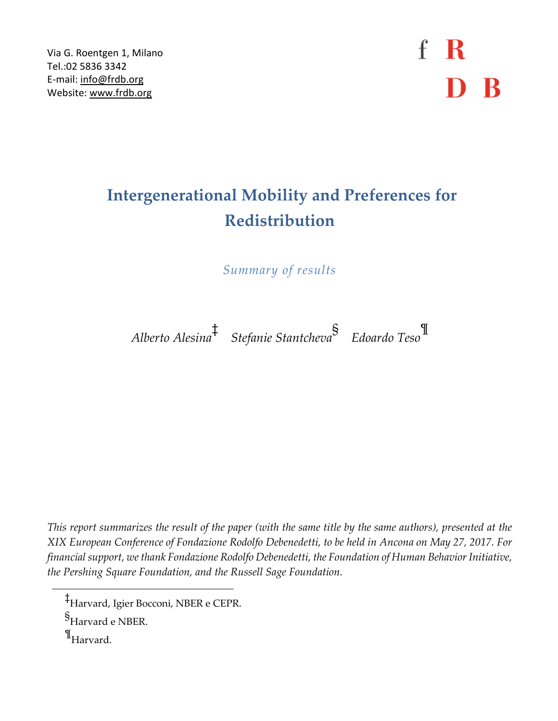Via G. Roentgen 1, Milano Tel.:02 5836 3342 E-mail: [info@frdb.org](mailto:info@frdb.org) Website: [www.frdb.org](http://www.frdb.org/)

 $f \, R$ D B

## **Intergenerational Mobility and Preferences for Redistribution**

*Summary of results*

*Alberto Alesina*‡  *Stefanie Stantcheva*§  *Edoardo Teso*¶

This report summarizes the result of the paper (with the same title by the same authors), presented at the *XIX European Conference of Fondazione Rodolfo Debenedetti, to be held in Ancona on May 27, 2017. For financial support, wethank Fondazione Rodolfo Debenedetti, the Foundation of Human BehaviorInitiative, the Pershing Square Foundation, and the Russell Sage Foundation.*

 $\P_\mathrm{Harvard.}$ 

<sup>‡</sup> Harvard, Igier Bocconi, NBER e CEPR.

<sup>§&</sup>lt;br>Harvard e NBER.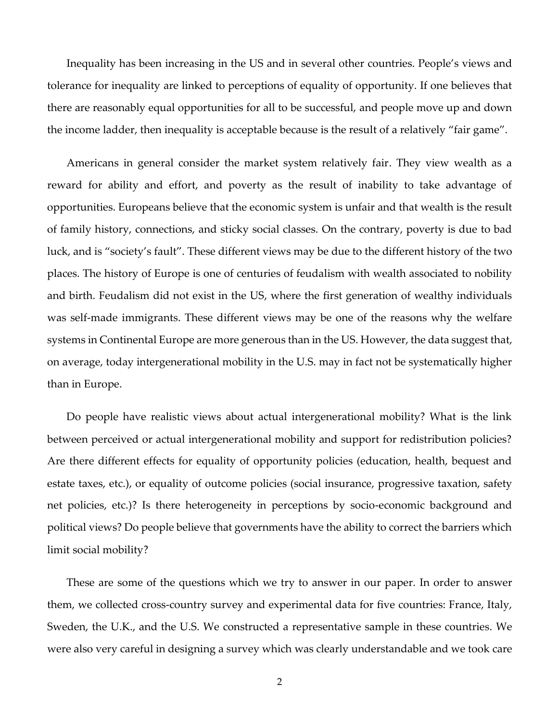Inequality has been increasing in the US and in several other countries. People's views and tolerance for inequality are linked to perceptions of equality of opportunity. If one believes that there are reasonably equal opportunities for all to be successful, and people move up and down the income ladder, then inequality is acceptable because is the result of a relatively "fair game".

Americans in general consider the market system relatively fair. They view wealth as a reward for ability and effort, and poverty as the result of inability to take advantage of opportunities. Europeans believe that the economic system is unfair and that wealth is the result of family history, connections, and sticky social classes. On the contrary, poverty is due to bad luck, and is "society's fault". These different views may be due to the different history of the two places. The history of Europe is one of centuries of feudalism with wealth associated to nobility and birth. Feudalism did not exist in the US, where the first generation of wealthy individuals was self-made immigrants. These different views may be one of the reasons why the welfare systems in Continental Europe are more generous than in the US. However, the data suggest that, on average, today intergenerational mobility in the U.S. may in fact not be systematically higher than in Europe.

Do people have realistic views about actual intergenerational mobility? What is the link between perceived or actual intergenerational mobility and support for redistribution policies? Are there different effects for equality of opportunity policies (education, health, bequest and estate taxes, etc.), or equality of outcome policies (social insurance, progressive taxation, safety net policies, etc.)? Is there heterogeneity in perceptions by socio-economic background and political views? Do people believe that governments have the ability to correct the barriers which limit social mobility?

These are some of the questions which we try to answer in our paper. In order to answer them, we collected cross-country survey and experimental data for five countries: France, Italy, Sweden, the U.K., and the U.S. We constructed a representative sample in these countries. We were also very careful in designing a survey which was clearly understandable and we took care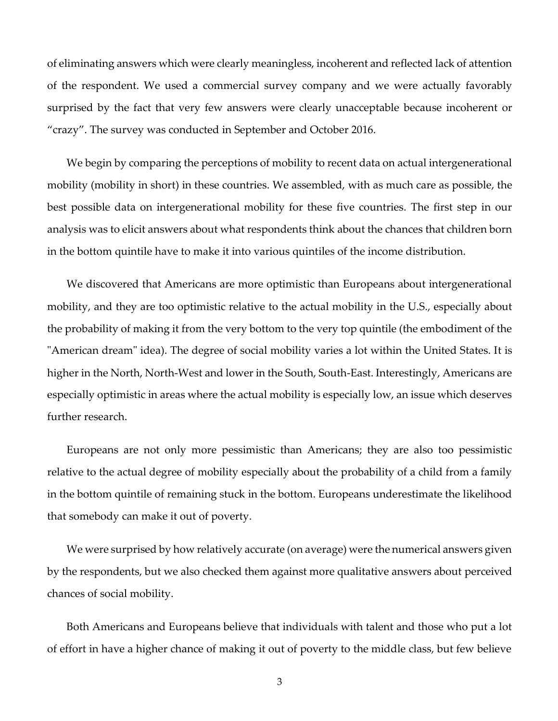of eliminating answers which were clearly meaningless, incoherent and reflected lack of attention of the respondent. We used a commercial survey company and we were actually favorably surprised by the fact that very few answers were clearly unacceptable because incoherent or "crazy". The survey was conducted in September and October 2016.

We begin by comparing the perceptions of mobility to recent data on actual intergenerational mobility (mobility in short) in these countries. We assembled, with as much care as possible, the best possible data on intergenerational mobility for these five countries. The first step in our analysis was to elicit answers about what respondents think about the chances that children born in the bottom quintile have to make it into various quintiles of the income distribution.

We discovered that Americans are more optimistic than Europeans about intergenerational mobility, and they are too optimistic relative to the actual mobility in the U.S., especially about the probability of making it from the very bottom to the very top quintile (the embodiment of the "American dream" idea). The degree of social mobility varies a lot within the United States. It is higher in the North, North-West and lower in the South, South-East. Interestingly, Americans are especially optimistic in areas where the actual mobility is especially low, an issue which deserves further research.

Europeans are not only more pessimistic than Americans; they are also too pessimistic relative to the actual degree of mobility especially about the probability of a child from a family in the bottom quintile of remaining stuck in the bottom. Europeans underestimate the likelihood that somebody can make it out of poverty.

We were surprised by how relatively accurate (on average) were the numerical answers given by the respondents, but we also checked them against more qualitative answers about perceived chances of social mobility.

Both Americans and Europeans believe that individuals with talent and those who put a lot of effort in have a higher chance of making it out of poverty to the middle class, but few believe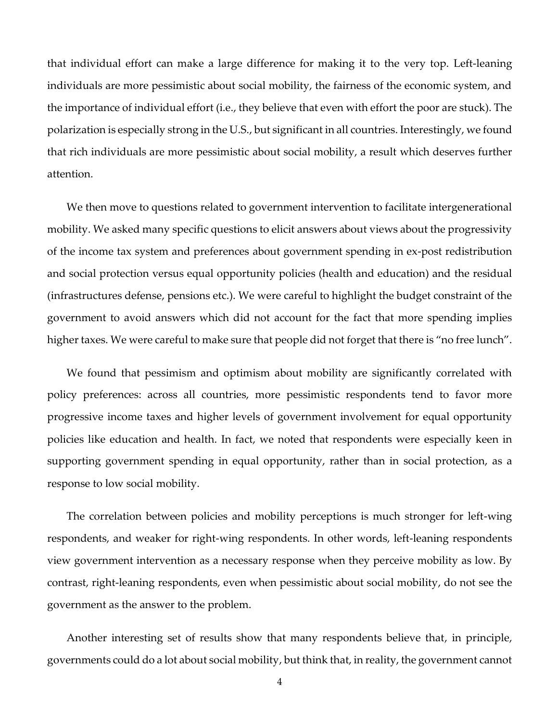that individual effort can make a large difference for making it to the very top. Left-leaning individuals are more pessimistic about social mobility, the fairness of the economic system, and the importance of individual effort (i.e., they believe that even with effort the poor are stuck). The polarization is especially strong in the U.S., but significant in all countries. Interestingly, we found that rich individuals are more pessimistic about social mobility, a result which deserves further attention.

We then move to questions related to government intervention to facilitate intergenerational mobility. We asked many specific questions to elicit answers about views about the progressivity of the income tax system and preferences about government spending in ex-post redistribution and social protection versus equal opportunity policies (health and education) and the residual (infrastructures defense, pensions etc.). We were careful to highlight the budget constraint of the government to avoid answers which did not account for the fact that more spending implies higher taxes. We were careful to make sure that people did not forget that there is "no free lunch".

We found that pessimism and optimism about mobility are significantly correlated with policy preferences: across all countries, more pessimistic respondents tend to favor more progressive income taxes and higher levels of government involvement for equal opportunity policies like education and health. In fact, we noted that respondents were especially keen in supporting government spending in equal opportunity, rather than in social protection, as a response to low social mobility.

The correlation between policies and mobility perceptions is much stronger for left-wing respondents, and weaker for right-wing respondents. In other words, left-leaning respondents view government intervention as a necessary response when they perceive mobility as low. By contrast, right-leaning respondents, even when pessimistic about social mobility, do not see the government as the answer to the problem.

Another interesting set of results show that many respondents believe that, in principle, governments could do a lot about social mobility, but think that, in reality, the government cannot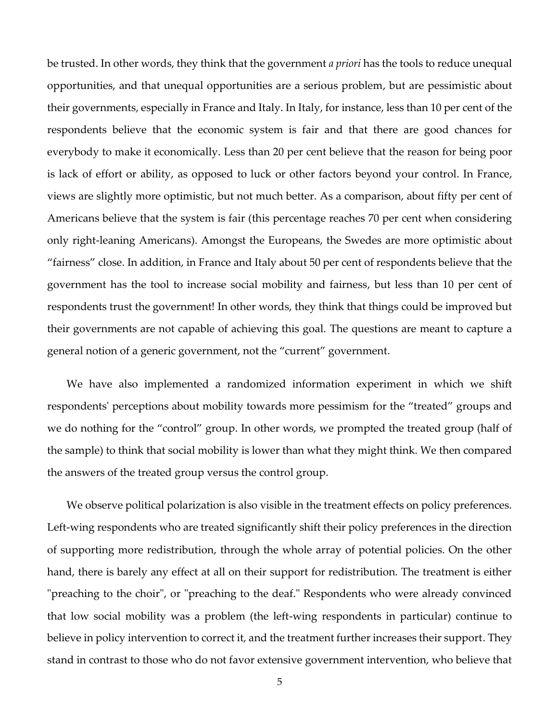be trusted. In other words, they think that the government *a priori* has the tools to reduce unequal opportunities, and that unequal opportunities are a serious problem, but are pessimistic about their governments, especially in France and Italy. In Italy, for instance, less than 10 per cent of the respondents believe that the economic system is fair and that there are good chances for everybody to make it economically. Less than 20 per cent believe that the reason for being poor is lack of effort or ability, as opposed to luck or other factors beyond your control. In France, views are slightly more optimistic, but not much better. As a comparison, about fifty per cent of Americans believe that the system is fair (this percentage reaches 70 per cent when considering only right-leaning Americans). Amongst the Europeans, the Swedes are more optimistic about "fairness" close. In addition, in France and Italy about 50 per cent of respondents believe that the government has the tool to increase social mobility and fairness, but less than 10 per cent of respondents trust the government! In other words, they think that things could be improved but their governments are not capable of achieving this goal. The questions are meant to capture a general notion of a generic government, not the "current" government.

We have also implemented a randomized information experiment in which we shift respondents' perceptions about mobility towards more pessimism for the "treated" groups and we do nothing for the "control" group. In other words, we prompted the treated group (half of the sample) to think that social mobility is lower than what they might think. We then compared the answers of the treated group versus the control group.

We observe political polarization is also visible in the treatment effects on policy preferences. Left-wing respondents who are treated significantly shift their policy preferences in the direction of supporting more redistribution, through the whole array of potential policies. On the other hand, there is barely any effect at all on their support for redistribution. The treatment is either "preaching to the choir", or "preaching to the deaf." Respondents who were already convinced that low social mobility was a problem (the left-wing respondents in particular) continue to believe in policy intervention to correct it, and the treatment further increases their support. They stand in contrast to those who do not favor extensive government intervention, who believe that